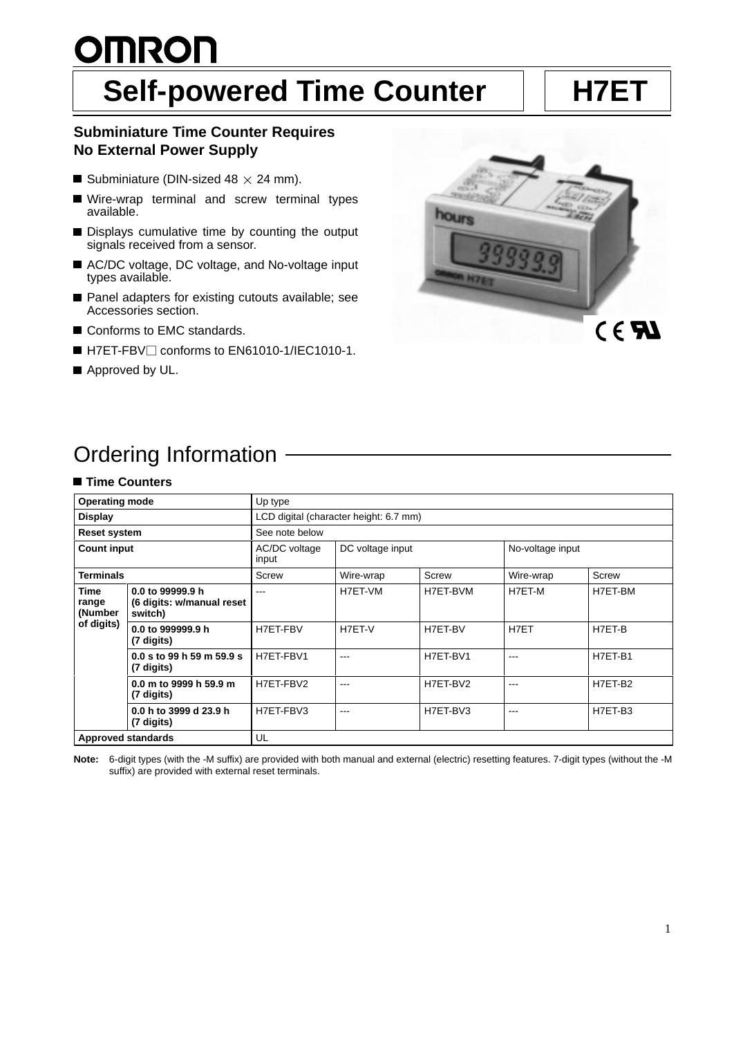# <u>OMRON</u> **Self-powered Time Counter | | H7ET**

### **Subminiature Time Counter Requires No External Power Supply**

- Subminiature (DIN-sized 48  $\times$  24 mm).
- $\blacksquare$ Wire-wrap terminal and screw terminal types available.
- Displays cumulative time by counting the output signals received from a sensor.
- AC/DC voltage, DC voltage, and No-voltage input types available.
- **Panel adapters for existing cutouts available; see** Accessories section.
- Conforms to EMC standards.
- $\blacksquare$  H7ET-FBV $\square$  conforms to EN61010-1/IEC1010-1.
- Approved by UL.



# Ordering Information

#### **Time Counters**

| <b>Operating mode</b>                         |                                                          | Up type                                |                  |          |                  |         |
|-----------------------------------------------|----------------------------------------------------------|----------------------------------------|------------------|----------|------------------|---------|
| <b>Display</b>                                |                                                          | LCD digital (character height: 6.7 mm) |                  |          |                  |         |
| <b>Reset system</b>                           |                                                          | See note below                         |                  |          |                  |         |
| <b>Count input</b>                            |                                                          | AC/DC voltage<br>input                 | DC voltage input |          | No-voltage input |         |
| <b>Terminals</b>                              |                                                          | Screw                                  | Wire-wrap        | Screw    | Wire-wrap        | Screw   |
| <b>Time</b><br>range<br>(Number<br>of digits) | 0.0 to 99999.9 h<br>(6 digits: w/manual reset<br>switch) | ---                                    | H7ET-VM          | H7ET-BVM | H7ET-M           | H7ET-BM |
|                                               | 0.0 to 999999.9 h<br>(7 digits)                          | H7ET-FBV                               | H7ET-V           | H7ET-BV  | H7ET             | H7ET-B  |
|                                               | 0.0 s to 99 h 59 m 59.9 s<br>(7 digits)                  | H7ET-FBV1                              | ---              | H7ET-BV1 | ---              | H7ET-B1 |
|                                               | 0.0 m to 9999 h 59.9 m<br>(7 digits)                     | H7ET-FBV2                              | ---              | H7ET-BV2 | ---              | H7ET-B2 |
|                                               | 0.0 h to 3999 d 23.9 h<br>(7 digits)                     | H7ET-FBV3                              | ---              | H7ET-BV3 | $--$             | H7ET-B3 |
| <b>Approved standards</b>                     |                                                          | UL                                     |                  |          |                  |         |

**Note:** 6-digit types (with the -M suffix) are provided with both manual and external (electric) resetting features. 7-digit types (without the -M suffix) are provided with external reset terminals.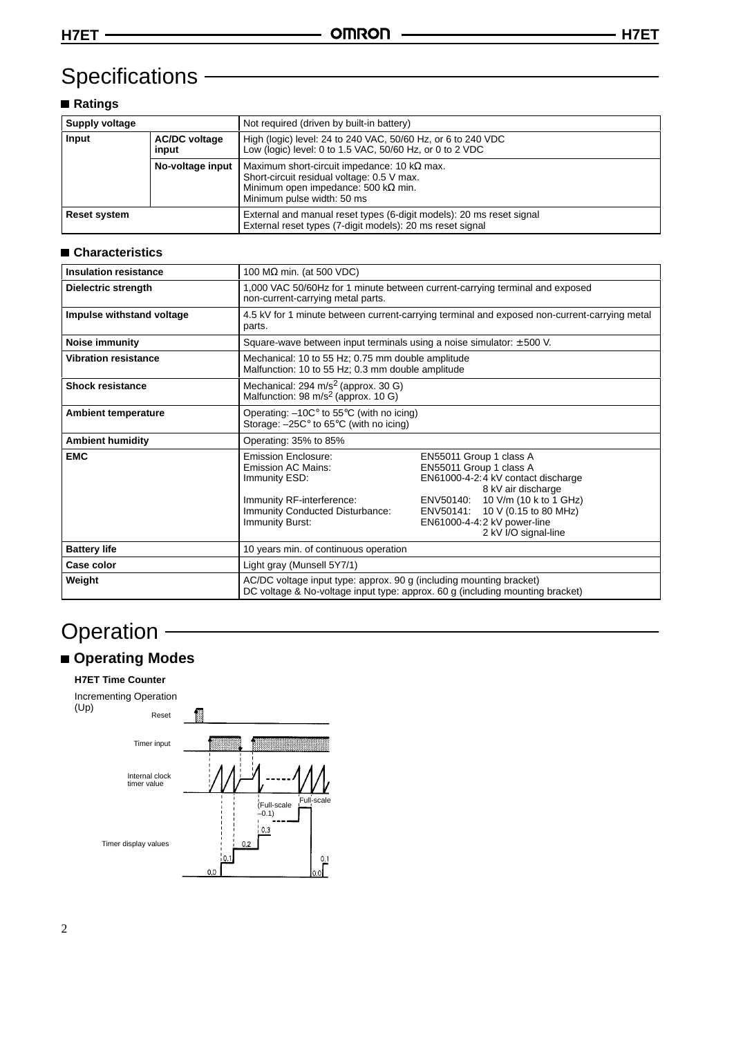# Specifications ·

## **Ratings**

| Supply voltage                         |                  | Not required (driven by built-in battery)                                                                                                                                      |  |
|----------------------------------------|------------------|--------------------------------------------------------------------------------------------------------------------------------------------------------------------------------|--|
| Input<br><b>AC/DC voltage</b><br>input |                  | High (logic) level: 24 to 240 VAC, 50/60 Hz, or 6 to 240 VDC<br>Low (logic) level: 0 to 1.5 VAC, 50/60 Hz, or 0 to 2 VDC                                                       |  |
|                                        | No-voltage input | Maximum short-circuit impedance: 10 k $\Omega$ max.<br>Short-circuit residual voltage: 0.5 V max.<br>Minimum open impedance: 500 k $\Omega$ min.<br>Minimum pulse width: 50 ms |  |
| <b>Reset system</b>                    |                  | External and manual reset types (6-digit models): 20 ms reset signal<br>External reset types (7-digit models): 20 ms reset signal                                              |  |

### **Characteristics**

| <b>Insulation resistance</b> | 100 $M\Omega$ min. (at 500 VDC)                                                                                                                      |                                                                                                                                                                                                                                              |  |  |
|------------------------------|------------------------------------------------------------------------------------------------------------------------------------------------------|----------------------------------------------------------------------------------------------------------------------------------------------------------------------------------------------------------------------------------------------|--|--|
| Dielectric strength          | 1,000 VAC 50/60Hz for 1 minute between current-carrying terminal and exposed<br>non-current-carrying metal parts.                                    |                                                                                                                                                                                                                                              |  |  |
| Impulse withstand voltage    | 4.5 kV for 1 minute between current-carrying terminal and exposed non-current-carrying metal<br>parts.                                               |                                                                                                                                                                                                                                              |  |  |
| Noise immunity               | Square-wave between input terminals using a noise simulator: $\pm$ 500 V.                                                                            |                                                                                                                                                                                                                                              |  |  |
| <b>Vibration resistance</b>  | Mechanical: 10 to 55 Hz; 0.75 mm double amplitude<br>Malfunction: 10 to 55 Hz; 0.3 mm double amplitude                                               |                                                                                                                                                                                                                                              |  |  |
| <b>Shock resistance</b>      | Mechanical: 294 m/s <sup>2</sup> (approx. 30 G)<br>Malfunction: 98 m/s <sup>2</sup> (approx. 10 G)                                                   |                                                                                                                                                                                                                                              |  |  |
| <b>Ambient temperature</b>   | Operating: $-10C^{\circ}$ to 55 $^{\circ}$ C (with no icing)<br>Storage: $-25C^{\circ}$ to 65 $^{\circ}$ C (with no icing)                           |                                                                                                                                                                                                                                              |  |  |
| <b>Ambient humidity</b>      | Operating: 35% to 85%                                                                                                                                |                                                                                                                                                                                                                                              |  |  |
| <b>EMC</b>                   | Emission Enclosure:<br>Emission AC Mains:<br>Immunity ESD:<br>Immunity RF-interference:<br>Immunity Conducted Disturbance:<br>Immunity Burst:        | EN55011 Group 1 class A<br>EN55011 Group 1 class A<br>EN61000-4-2:4 kV contact discharge<br>8 kV air discharge<br>ENV50140: 10 V/m (10 k to 1 GHz)<br>ENV50141: 10 V (0.15 to 80 MHz)<br>EN61000-4-4:2 kV power-line<br>2 kV I/O signal-line |  |  |
| <b>Battery life</b>          | 10 years min. of continuous operation                                                                                                                |                                                                                                                                                                                                                                              |  |  |
| Case color                   | Light gray (Munsell 5Y7/1)                                                                                                                           |                                                                                                                                                                                                                                              |  |  |
| Weight                       | AC/DC voltage input type: approx. 90 g (including mounting bracket)<br>DC voltage & No-voltage input type: approx. 60 g (including mounting bracket) |                                                                                                                                                                                                                                              |  |  |

# **Operation**

## **Operating Modes**

#### **H7ET Time Counter**

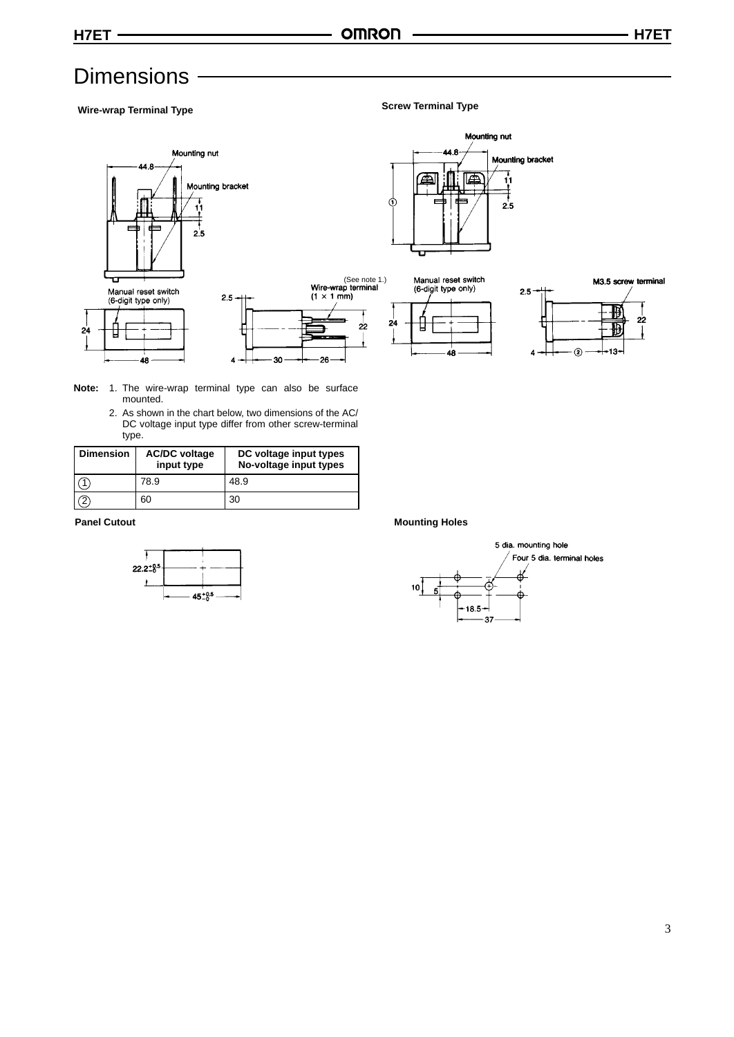# **Dimensions**

**Wire-wrap Terminal Type Screw Terminal Type Screw Terminal Type** 





- **Note:** 1. The wire-wrap terminal type can also be surface mounted.
	- 2. As shown in the chart below, two dimensions of the AC/ DC voltage input type differ from other screw-terminal type.

| <b>Dimension</b> | <b>AC/DC voltage</b><br>input type | DC voltage input types<br>No-voltage input types |
|------------------|------------------------------------|--------------------------------------------------|
|                  | 78.9                               | 48.9                                             |
|                  | 60                                 | 30                                               |



**Panel Cutout Mounting Holes** 

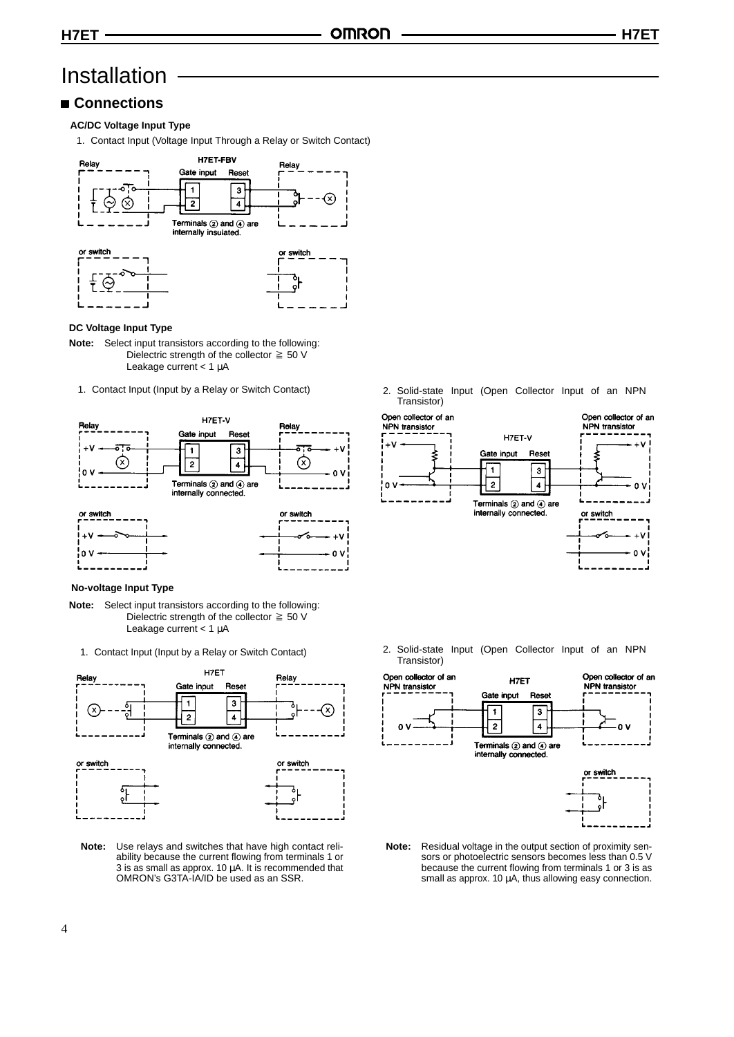# Installation

### **Connections**

#### **AC/DC Voltage Input Type**

1. Contact Input (Voltage Input Through a Relay or Switch Contact)



#### **DC Voltage Input Type**

- **Note:** Select input transistors according to the following: Dielectric strength of the collector  $\geq 50$  V Leakage current  $<$  1  $\mu$ A
	- 1. Contact Input (Input by a Relay or Switch Contact)



- **Note:** Select input transistors according to the following: Dielectric strength of the collector  $\geq 50$  V Leakage current  $<$  1  $\mu$ A
	-



**Note:** Use relays and switches that have high contact reliability because the current flowing from terminals 1 or 3 is as small as approx. 10  $\mu$ A. It is recommended that OMRON's G3TA-IA/ID be used as an SSR.

2. Solid-state Input (Open Collector Input of an NPN Transistor)



1. Contact Input (Input by a Relay or Switch Contact) 2. Solid-state Input (Open Collector Input of an NPN Transistor)



**Note:** Residual voltage in the output section of proximity sensors or photoelectric sensors becomes less than 0.5 V because the current flowing from terminals 1 or 3 is as small as approx. 10  $\mu$ A, thus allowing easy connection.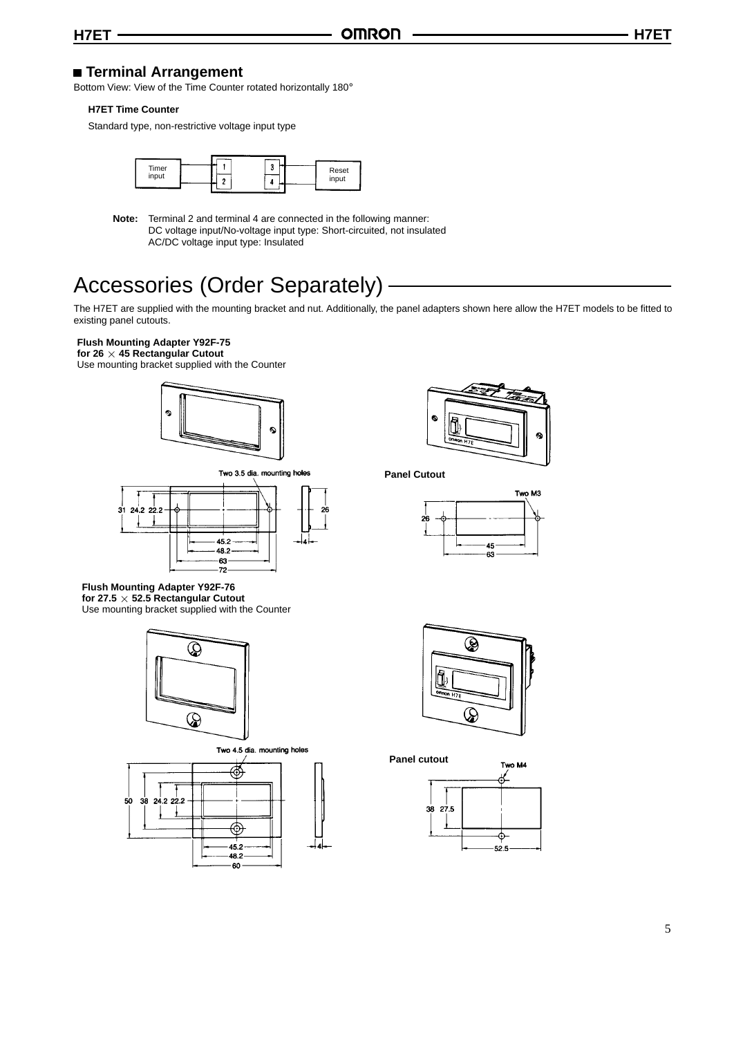### **Terminal Arrangement**

Bottom View: View of the Time Counter rotated horizontally 180°

#### **H7ET Time Counter**

Standard type, non-restrictive voltage input type



**Note:** Terminal 2 and terminal 4 are connected in the following manner: DC voltage input/No-voltage input type: Short-circuited, not insulated AC/DC voltage input type: Insulated

# Accessories (Order Separately)

The H7ET are supplied with the mounting bracket and nut. Additionally, the panel adapters shown here allow the H7ET models to be fitted to existing panel cutouts.

### **Flush Mounting Adapter Y92F-75**

**for 26 45 Rectangular Cutout** Use mounting bracket supplied with the Counter



Two 3.5 dia. mounting holes



**Flush Mounting Adapter Y92F-76** for 27.5  $\times$  52.5 Rectangular Cutout Use mounting bracket supplied with the Counter



Two 4.5 dia. mounting holes





**Panel Cutout**





**Panel cutout**

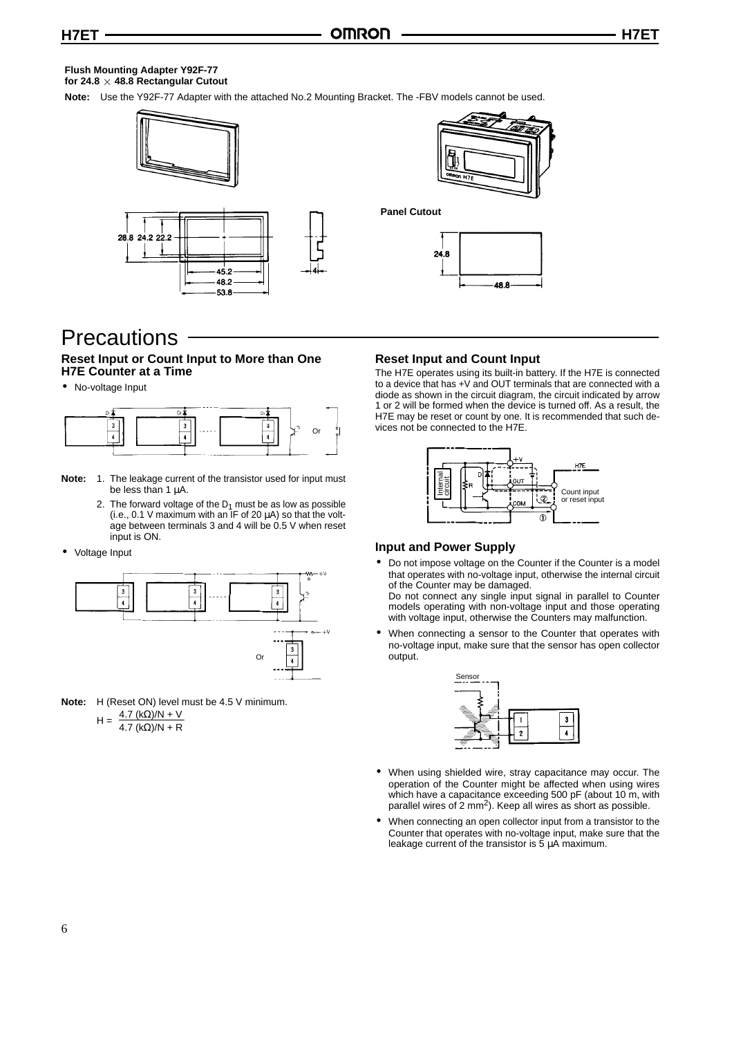#### **Flush Mounting Adapter Y92F-77 for 24.8 48.8 Rectangular Cutout**

**Note:** Use the Y92F-77 Adapter with the attached No.2 Mounting Bracket. The -FBV models cannot be used.



# **Precautions**

#### **Reset Input or Count Input to More than One H7E Counter at a Time**

• No-voltage Input



- **Note:** 1. The leakage current of the transistor used for input must be less than 1 uA.
	- 2. The forward voltage of the  $D_1$  must be as low as possible (i.e., 0.1 V maximum with an IF of 20 µA) so that the voltage between terminals 3 and 4 will be  $0.5$  V when reset input is ON.
- Voltage Input



**Note:** H (Reset ON) level must be 4.5 V minimum.

 $H = \frac{4.7 (kΩ)/N + V}{V}$ 4.7 (kΩ)/N + R

#### **Reset Input and Count Input**

 $24.8$ 

**Panel Cutout**

The H7E operates using its built-in battery. If the H7E is connected to a device that has +V and OUT terminals that are connected with a diode as shown in the circuit diagram, the circuit indicated by arrow 1 or 2 will be formed when the device is turned off. As a result, the H7E may be reset or count by one. It is recommended that such devices not be connected to the H7E.

48.8



#### **Input and Power Supply**

• Do not impose voltage on the Counter if the Counter is a model that operates with no-voltage input, otherwise the internal circuit of the Counter may be damaged.

Do not connect any single input signal in parallel to Counter models operating with non-voltage input and those operating with voltage input, otherwise the Counters may malfunction.

• When connecting a sensor to the Counter that operates with no-voltage input, make sure that the sensor has open collector output.



- When using shielded wire, stray capacitance may occur. The operation of the Counter might be affected when using wires which have a capacitance exceeding 500 pF (about 10 m, with parallel wires of 2 mm<sup>2</sup>). Keep all wires as short as possible.
- When connecting an open collector input from a transistor to the Counter that operates with no-voltage input, make sure that the leakage current of the transistor is  $\overline{5}$   $\mu$ A maximum.